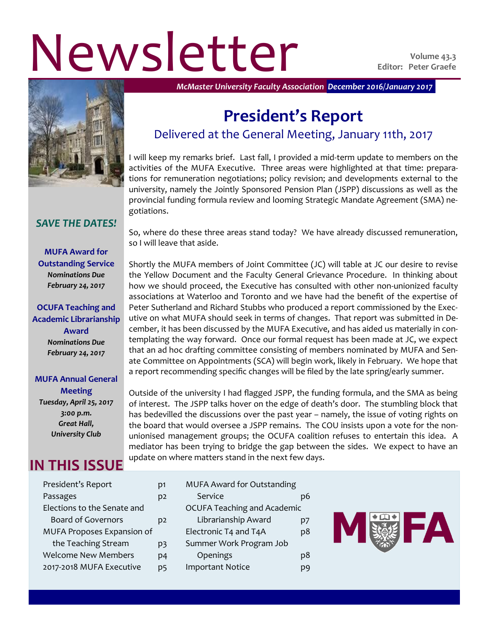# Newsletter **Violume 43.3**



*McMaster University Faculty Association December 2016/January 2017* 

## **President's Report**

## Delivered at the General Meeting, January 11th, 2017

I will keep my remarks brief. Last fall, I provided a mid-term update to members on the activities of the MUFA Executive. Three areas were highlighted at that time: preparations for remuneration negotiations; policy revision; and developments external to the university, namely the Jointly Sponsored Pension Plan (JSPP) discussions as well as the provincial funding formula review and looming Strategic Mandate Agreement (SMA) negotiations.

*SAVE THE DATES!*

**MUFA Award for Outstanding Service** *Nominations Due February 24, 2017*

**OCUFA Teaching and Academic Librarianship Award** *Nominations Due February 24, 2017*

#### **MUFA Annual General**

**Meeting** *Tuesday, April 25, 2017 3:00 p.m. Great Hall, University Club*

## **IN THIS ISSUE**

| President's Report          |    |
|-----------------------------|----|
| Passages                    | D2 |
| Elections to the Senate and |    |
| <b>Board of Governors</b>   | D2 |
| MUFA Proposes Expansion of  |    |
| the Teaching Stream         | р3 |
| <b>Welcome New Members</b>  | D4 |
| 2017-2018 MUFA Executive    | p5 |
|                             |    |

So, where do these three areas stand today? We have already discussed remuneration, so I will leave that aside.

Shortly the MUFA members of Joint Committee (JC) will table at JC our desire to revise the Yellow Document and the Faculty General Grievance Procedure. In thinking about how we should proceed, the Executive has consulted with other non-unionized faculty associations at Waterloo and Toronto and we have had the benefit of the expertise of Peter Sutherland and Richard Stubbs who produced a report commissioned by the Executive on what MUFA should seek in terms of changes. That report was submitted in December, it has been discussed by the MUFA Executive, and has aided us materially in contemplating the way forward. Once our formal request has been made at JC, we expect that an ad hoc drafting committee consisting of members nominated by MUFA and Senate Committee on Appointments (SCA) will begin work, likely in February. We hope that a report recommending specific changes will be filed by the late spring/early summer.

Outside of the university I had flagged JSPP, the funding formula, and the SMA as being of interest. The JSPP talks hover on the edge of death's door. The stumbling block that has bedevilled the discussions over the past year – namely, the issue of voting rights on the board that would oversee a JSPP remains. The COU insists upon a vote for the nonunionised management groups; the OCUFA coalition refuses to entertain this idea. A mediator has been trying to bridge the gap between the sides. We expect to have an update on where matters stand in the next few days.

> MUFA Award for Outstanding Service p6 OCUFA Teaching and Academic Librarianship Award p7 Electronic T4 and T4A p8 Summer Work Program Job Openings p8 Important Notice **p9**

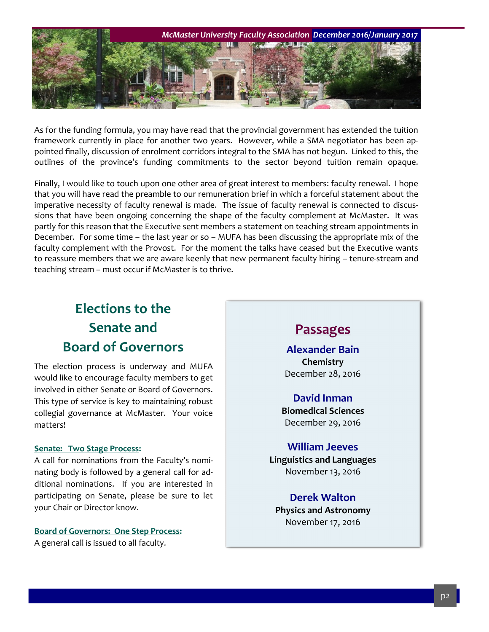

As for the funding formula, you may have read that the provincial government has extended the tuition framework currently in place for another two years. However, while a SMA negotiator has been appointed finally, discussion of enrolment corridors integral to the SMA has not begun. Linked to this, the outlines of the province's funding commitments to the sector beyond tuition remain opaque.

Finally, I would like to touch upon one other area of great interest to members: faculty renewal. I hope that you will have read the preamble to our remuneration brief in which a forceful statement about the imperative necessity of faculty renewal is made. The issue of faculty renewal is connected to discussions that have been ongoing concerning the shape of the faculty complement at McMaster. It was partly for this reason that the Executive sent members a statement on teaching stream appointments in December. For some time – the last year or so – MUFA has been discussing the appropriate mix of the faculty complement with the Provost. For the moment the talks have ceased but the Executive wants to reassure members that we are aware keenly that new permanent faculty hiring – tenure-stream and teaching stream – must occur if McMaster is to thrive.

## **Elections to the Senate and Board of Governors**

The election process is underway and MUFA would like to encourage faculty members to get involved in either Senate or Board of Governors. This type of service is key to maintaining robust collegial governance at McMaster. Your voice matters!

#### **Senate: Two Stage Process:**

A call for nominations from the Faculty's nominating body is followed by a general call for additional nominations. If you are interested in participating on Senate, please be sure to let your Chair or Director know.

**Board of Governors: One Step Process:**

#### A general call is issued to all faculty.

### **Passages**

**Alexander Bain Chemistry** December 28, 2016

#### **David Inman Biomedical Sciences** December 29, 2016

**William Jeeves**

**Linguistics and Languages** November 13, 2016

**Derek Walton Physics and Astronomy** November 17, 2016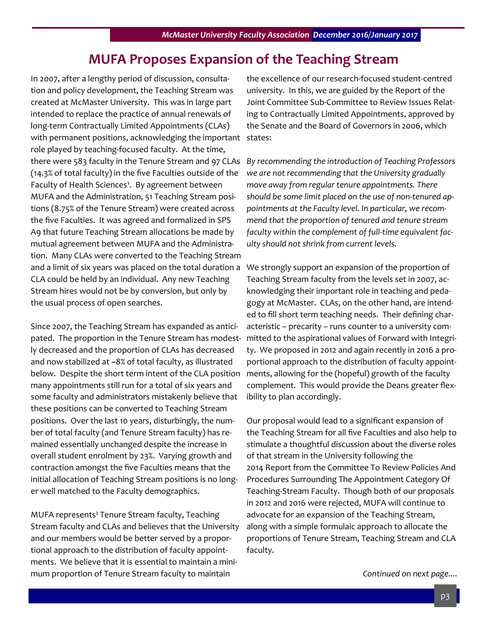## **MUFA Proposes Expansion of the Teaching Stream**

In 2007, after a lengthy period of discussion, consultation and policy development, the Teaching Stream was created at McMaster University. This was in large part intended to replace the practice of annual renewals of long-term Contractually Limited Appointments (CLAs) with permanent positions, acknowledging the important states: role played by teaching-focused faculty. At the time, there were 583 faculty in the Tenure Stream and 97 CLAs *By recommending the introduction of Teaching Professors*  (14.3% of total faculty) in the five Faculties outside of the Faculty of Health Sciences<sup>1</sup>. By agreement between MUFA and the Administration, 51 Teaching Stream positions (8.75% of the Tenure Stream) were created across the five Faculties. It was agreed and formalized in SPS A9 that future Teaching Stream allocations be made by mutual agreement between MUFA and the Administration. Many CLAs were converted to the Teaching Stream and a limit of six years was placed on the total duration a CLA could be held by an individual. Any new Teaching Stream hires would not be by conversion, but only by the usual process of open searches.

Since 2007, the Teaching Stream has expanded as anticipated. The proportion in the Tenure Stream has modestly decreased and the proportion of CLAs has decreased and now stabilized at ~8% of total faculty, as illustrated below. Despite the short term intent of the CLA position ments, allowing for the (hopeful) growth of the faculty many appointments still run for a total of six years and some faculty and administrators mistakenly believe that these positions can be converted to Teaching Stream positions. Over the last 10 years, disturbingly, the number of total faculty (and Tenure Stream faculty) has remained essentially unchanged despite the increase in overall student enrolment by 23%. Varying growth and contraction amongst the five Faculties means that the initial allocation of Teaching Stream positions is no longer well matched to the Faculty demographics.

MUFA represents² Tenure Stream faculty, Teaching Stream faculty and CLAs and believes that the University and our members would be better served by a proportional approach to the distribution of faculty appointments. We believe that it is essential to maintain a minimum proportion of Tenure Stream faculty to maintain

the excellence of our research-focused student-centred university. In this, we are guided by the Report of the Joint Committee Sub-Committee to Review Issues Relating to Contractually Limited Appointments, approved by the Senate and the Board of Governors in 2006, which

*we are not recommending that the University gradually move away from regular tenure appointments. There should be some limit placed on the use of non-tenured appointments at the Faculty level. In particular, we recommend that the proportion of tenured and tenure stream faculty within the complement of full-time equivalent faculty should not shrink from current levels.*

We strongly support an expansion of the proportion of Teaching Stream faculty from the levels set in 2007, acknowledging their important role in teaching and pedagogy at McMaster. CLAs, on the other hand, are intended to fill short term teaching needs. Their defining characteristic – precarity – runs counter to a university committed to the aspirational values of Forward with Integrity. We proposed in 2012 and again recently in 2016 a proportional approach to the distribution of faculty appointcomplement. This would provide the Deans greater flexibility to plan accordingly.

Our proposal would lead to a significant expansion of the Teaching Stream for all five Faculties and also help to stimulate a thoughtful discussion about the diverse roles of that stream in the University following the 2014 Report from the Committee To Review Policies And Procedures Surrounding The Appointment Category Of Teaching-Stream Faculty. Though both of our proposals in 2012 and 2016 were rejected, MUFA will continue to advocate for an expansion of the Teaching Stream, along with a simple formulaic approach to allocate the proportions of Tenure Stream, Teaching Stream and CLA faculty.

*Continued on next page....*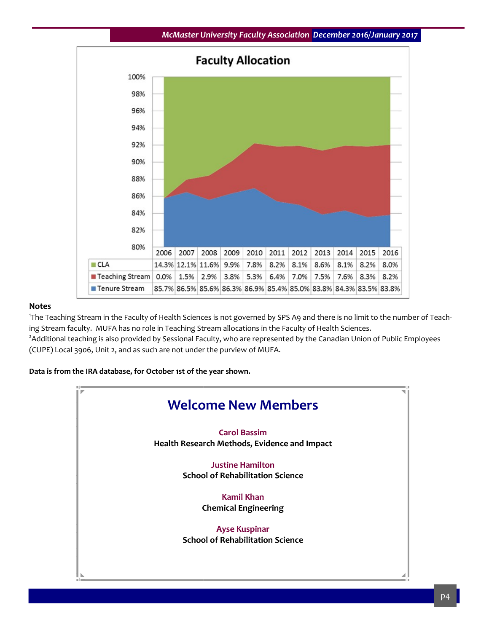



#### **Notes**

1 The Teaching Stream in the Faculty of Health Sciences is not governed by SPS A9 and there is no limit to the number of Teaching Stream faculty. MUFA has no role in Teaching Stream allocations in the Faculty of Health Sciences. <sup>2</sup>Additional teaching is also provided by Sessional Faculty, who are represented by the Canadian Union of Public Employees (CUPE) Local 3906, Unit 2, and as such are not under the purview of MUFA.

**Data is from the IRA database, for October 1st of the year shown.**

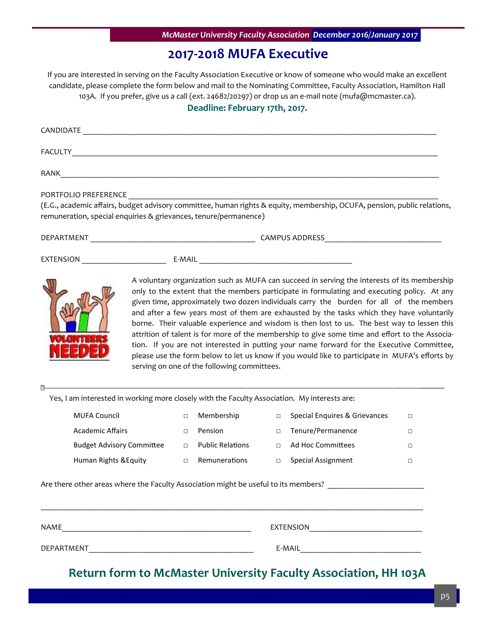## **2017-2018 MUFA Executive**

If you are interested in serving on the Faculty Association Executive or know of someone who would make an excellent candidate, please complete the form below and mail to the Nominating Committee, Faculty Association, Hamilton Hall 103A. If you prefer, give us a call (ext. 24682/20297) or drop us an e-mail note (mufa@mcmaster.ca).

#### **Deadline: February 17th, 2017.**

| CANDIDATE                                                                                |                                                                                                                          |
|------------------------------------------------------------------------------------------|--------------------------------------------------------------------------------------------------------------------------|
| <b>FACULTY</b>                                                                           |                                                                                                                          |
| RANK                                                                                     |                                                                                                                          |
| PORTFOLIO PREFERENCE<br>remuneration, special enquiries & grievances, tenure/permanence) | (E.G., academic affairs, budget advisory committee, human rights & equity, membership, OCUFA, pension, public relations, |
| DEPARTMENT                                                                               | <b>CAMPUS ADDRESS</b>                                                                                                    |

EXTENSION E-MAIL E-MAIL E-MAIL E-MAIL E-MAIL E-MAIL E-MAIL E-MAIL E-MAIL E-MAIL E-MAIL E-MAIL E-MAIL E-MAIL E-MAIL E-MAIL E-MAIL E-MAIL E-MAIL E-MAIL E-MAIL E-MAIL E-MAIL E-MAIL E-MAIL E-MAIL E-MAIL E-MAIL E-MAIL E-MAIL E-



A voluntary organization such as MUFA can succeed in serving the interests of its membership only to the extent that the members participate in formulating and executing policy. At any given time, approximately two dozen individuals carry the burden for all of the members and after a few years most of them are exhausted by the tasks which they have voluntarily borne. Their valuable experience and wisdom is then lost to us. The best way to lessen this attrition of talent is for more of the membership to give some time and effort to the Association. If you are not interested in putting your name forward for the Executive Committee, please use the form below to let us know if you would like to participate in MUFA's efforts by serving on one of the following committees.

Yes, I am interested in working more closely with the Faculty Association. My interests are:

| MUFA Council                     | Membership              | Special Enguires & Grievances |  |
|----------------------------------|-------------------------|-------------------------------|--|
| <b>Academic Affairs</b>          | Pension                 | Tenure/Permanence             |  |
| <b>Budget Advisory Committee</b> | <b>Public Relations</b> | Ad Hoc Committees             |  |
| Human Rights & Equity            | Remunerations           | Special Assignment            |  |

\_\_\_\_\_\_\_\_\_\_\_\_\_\_\_\_\_\_\_\_\_\_\_\_\_\_\_\_\_\_\_\_\_\_\_\_\_\_\_\_\_\_\_\_\_\_\_\_\_\_\_\_\_\_\_\_\_\_\_\_\_\_\_\_\_\_\_\_\_\_\_\_\_\_\_\_\_\_\_\_\_\_\_\_\_\_\_\_\_\_\_\_\_\_\_

✂------------------------------------------------------------------------------------------------------------------------------------------------------------------------------------------———-

Are there other areas where the Faculty Association might be useful to its members?

NAME\_\_\_\_\_\_\_\_\_\_\_\_\_\_\_\_\_\_\_\_\_\_\_\_\_\_\_\_\_\_\_\_\_\_\_\_\_\_\_\_\_\_\_\_\_\_\_ EXTENSION\_\_\_\_\_\_\_\_\_\_\_\_\_\_\_\_\_\_\_\_\_\_\_\_\_\_\_\_

DEPARTMENT\_\_\_\_\_\_\_\_\_\_\_\_\_\_\_\_\_\_\_\_\_\_\_\_\_\_\_\_\_\_\_\_\_\_\_\_\_\_\_\_\_ E-MAIL\_\_\_\_\_\_\_\_\_\_\_\_\_\_\_\_\_\_\_\_\_\_\_\_\_\_\_\_\_\_

#### **Return form to McMaster University Faculty Association, HH 103A**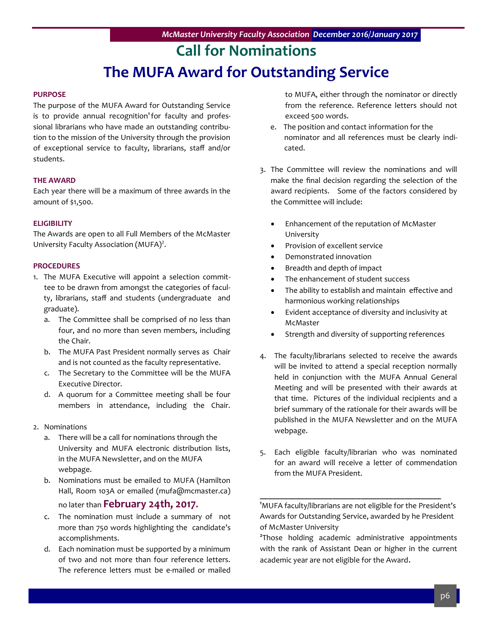## **Call for Nominations The MUFA Award for Outstanding Service**

#### **PURPOSE**

The purpose of the MUFA Award for Outstanding Service is to provide annual recognition<sup>1</sup> for faculty and professional librarians who have made an outstanding contribution to the mission of the University through the provision of exceptional service to faculty, librarians, staff and/or students.

#### **THE AWARD**

Each year there will be a maximum of three awards in the amount of \$1,500.

#### **ELIGIBILITY**

The Awards are open to all Full Members of the McMaster University Faculty Association (MUFA)<sup>2</sup>.

#### **PROCEDURES**

- 1. The MUFA Executive will appoint a selection committee to be drawn from amongst the categories of faculty, librarians, staff and students (undergraduate and graduate).
	- a. The Committee shall be comprised of no less than four, and no more than seven members, including the Chair.
	- b. The MUFA Past President normally serves as Chair and is not counted as the faculty representative.
	- c. The Secretary to the Committee will be the MUFA Executive Director.
	- d. A quorum for a Committee meeting shall be four members in attendance, including the Chair.
- 2. Nominations
	- a. There will be a call for nominations through the University and MUFA electronic distribution lists, in the MUFA Newsletter, and on the MUFA webpage.
	- b. Nominations must be emailed to MUFA (Hamilton Hall, Room 103A or emailed (mufa@mcmaster.ca) no later than **February 24th, 2017.**
	- c. The nomination must include a summary of not more than 750 words highlighting the candidate's accomplishments.
	- d. Each nomination must be supported by a minimum of two and not more than four reference letters. The reference letters must be e-mailed or mailed

to MUFA, either through the nominator or directly from the reference. Reference letters should not exceed 500 words.

- e. The position and contact information for the nominator and all references must be clearly indi cated.
- 3. The Committee will review the nominations and will make the final decision regarding the selection of the award recipients. Some of the factors considered by the Committee will include:
	- Enhancement of the reputation of McMaster University
	- Provision of excellent service
	- Demonstrated innovation
	- Breadth and depth of impact
	- The enhancement of student success
	- The ability to establish and maintain effective and harmonious working relationships
	- Evident acceptance of diversity and inclusivity at McMaster
	- Strength and diversity of supporting references
- 4. The faculty/librarians selected to receive the awards will be invited to attend a special reception normally held in conjunction with the MUFA Annual General Meeting and will be presented with their awards at that time. Pictures of the individual recipients and a brief summary of the rationale for their awards will be published in the MUFA Newsletter and on the MUFA webpage.
- 5. Each eligible faculty/librarian who was nominated for an award will receive a letter of commendation from the MUFA President.

**<sup>1</sup>**MUFA faculty/librarians are not eligible for the President's Awards for Outstanding Service, awarded by he President of McMaster University

**\_\_\_\_\_\_\_\_\_\_\_\_\_\_\_\_\_\_\_\_\_\_\_\_\_\_\_\_\_\_\_\_\_\_\_\_\_\_\_\_\_\_\_\_\_**

**2** Those holding academic administrative appointments with the rank of Assistant Dean or higher in the current academic year are not eligible for the Award.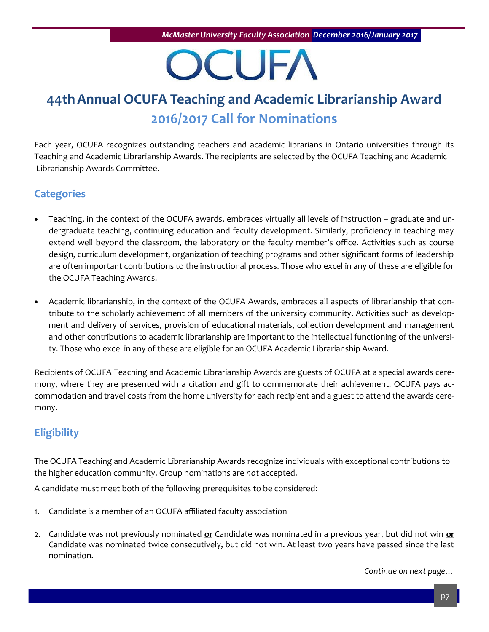## OCUFA

## **44thAnnual OCUFA Teaching and Academic Librarianship Award 2016/2017 Call for Nominations**

Each year, OCUFA recognizes outstanding teachers and academic librarians in Ontario universities through its Teaching and Academic Librarianship Awards. The recipients are selected by the OCUFA Teaching and Academic Librarianship Awards Committee.

#### **Categories**

- Teaching, in the context of the OCUFA awards, embraces virtually all levels of instruction graduate and undergraduate teaching, continuing education and faculty development. Similarly, proficiency in teaching may extend well beyond the classroom, the laboratory or the faculty member's office. Activities such as course design, curriculum development, organization of teaching programs and other significant forms of leadership are often important contributions to the instructional process. Those who excel in any of these are eligible for the OCUFA Teaching Awards.
- Academic librarianship, in the context of the OCUFA Awards, embraces all aspects of librarianship that contribute to the scholarly achievement of all members of the university community. Activities such as development and delivery of services, provision of educational materials, collection development and management and other contributions to academic librarianship are important to the intellectual functioning of the university. Those who excel in any of these are eligible for an OCUFA Academic Librarianship Award.

Recipients of OCUFA Teaching and Academic Librarianship Awards are guests of OCUFA at a special awards ceremony, where they are presented with a citation and gift to commemorate their achievement. OCUFA pays accommodation and travel costs from the home university for each recipient and a guest to attend the awards ceremony.

#### **Eligibility**

The OCUFA Teaching and Academic Librarianship Awards recognize individuals with exceptional contributions to the higher education community. Group nominations are *not* accepted.

A candidate must meet both of the following prerequisites to be considered:

- 1. Candidate is a member of an OCUFA affiliated faculty association
- 2. Candidate was not previously nominated **or** Candidate was nominated in a previous year, but did not win **or** Candidate was nominated twice consecutively, but did not win. At least two years have passed since the last nomination.

*Continue on next page…*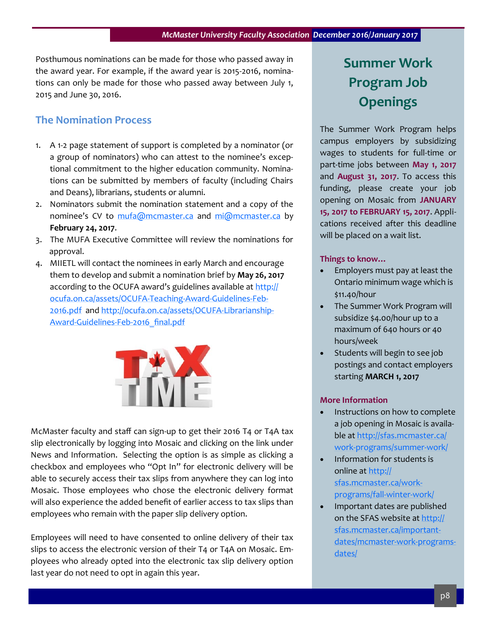Posthumous nominations can be made for those who passed away in the award year. For example, if the award year is 2015-2016, nominations can only be made for those who passed away between July 1, 2015 and June 30, 2016.

#### **The Nomination Process**

- 1. A 1-2 page statement of support is completed by a nominator (or a group of nominators) who can attest to the nominee's exceptional commitment to the higher education community. Nominations can be submitted by members of faculty (including Chairs and Deans), librarians, students or alumni.
- 2. Nominators submit the nomination statement and a copy of the nominee's CV to [mufa@mcmaster.ca](mailto:mufa@mcmaster.ca) and [mi@mcmaster.ca](mailto:mi@mcmaster.ca) by **February 24, 2017**.
- 3. The MUFA Executive Committee will review the nominations for approval.
- 4. MIIETL will contact the nominees in early March and encourage them to develop and submit a nomination brief by **May 26, 2017** according to the OCUFA award's guidelines available at [http://](http://ocufa.on.ca/assets/OCUFA-Teaching-Award-Guidelines-Feb-2016.pdf) [ocufa.on.ca/assets/OCUFA](http://ocufa.on.ca/assets/OCUFA-Teaching-Award-Guidelines-Feb-2016.pdf)-Teaching-Award-Guidelines-Feb-[2016.pdf](http://ocufa.on.ca/assets/OCUFA-Teaching-Award-Guidelines-Feb-2016.pdf) and [http://ocufa.on.ca/assets/OCUFA](http://ocufa.on.ca/assets/OCUFA-Librarianship-Award-Guidelines-Feb-2016_final.pdf)-Librarianship-Award-Guidelines-Feb-[2016\\_final.pdf](http://ocufa.on.ca/assets/OCUFA-Librarianship-Award-Guidelines-Feb-2016_final.pdf)



McMaster faculty and staff can sign-up to get their 2016 T4 or T4A tax slip electronically by logging into Mosaic and clicking on the link under News and Information. Selecting the option is as simple as clicking a checkbox and employees who "Opt In" for electronic delivery will be able to securely access their tax slips from anywhere they can log into Mosaic. Those employees who chose the electronic delivery format will also experience the added benefit of earlier access to tax slips than employees who remain with the paper slip delivery option.

Employees will need to have consented to online delivery of their tax slips to access the electronic version of their T4 or T4A on Mosaic. Employees who already opted into the electronic tax slip delivery option last year do not need to opt in again this year.

## **Summer Work Program Job Openings**

The Summer Work Program helps campus employers by subsidizing wages to students for full-time or part-time jobs between **May 1, 2017**  and **August 31, 2017**. To access this funding, please create your job opening on Mosaic from **JANUARY 15, 2017 to FEBRUARY 15, 2017**. Applications received after this deadline will be placed on a wait list.

#### **Things to know…**

- Employers must pay at least the Ontario minimum wage which is \$11.40/hour
- The Summer Work Program will subsidize \$4.00/hour up to a maximum of 640 hours or 40 hours/week
- Students will begin to see job postings and contact employers starting **MARCH 1, 2017**

#### **More Information**

- Instructions on how to complete a job opening in Mosaic is available at [http://sfas.mcmaster.ca/](http://sfas.mcmaster.ca/work-programs/summer-work/) work-[programs/summer](http://sfas.mcmaster.ca/work-programs/summer-work/)-work/
- Information for students is online at [http://](http://sfas.mcmaster.ca/work-programs/fall-winter-work/) [sfas.mcmaster.ca/work](http://sfas.mcmaster.ca/work-programs/fall-winter-work/)[programs/fall](http://sfas.mcmaster.ca/work-programs/fall-winter-work/)-winter-work/
- Important dates are published on the SFAS website at [http://](http://sfas.mcmaster.ca/important-dates/mcmaster-work-programs-dates/) [sfas.mcmaster.ca/important](http://sfas.mcmaster.ca/important-dates/mcmaster-work-programs-dates/)[dates/mcmaster](http://sfas.mcmaster.ca/important-dates/mcmaster-work-programs-dates/)-work-programs[dates/](http://sfas.mcmaster.ca/important-dates/mcmaster-work-programs-dates/)